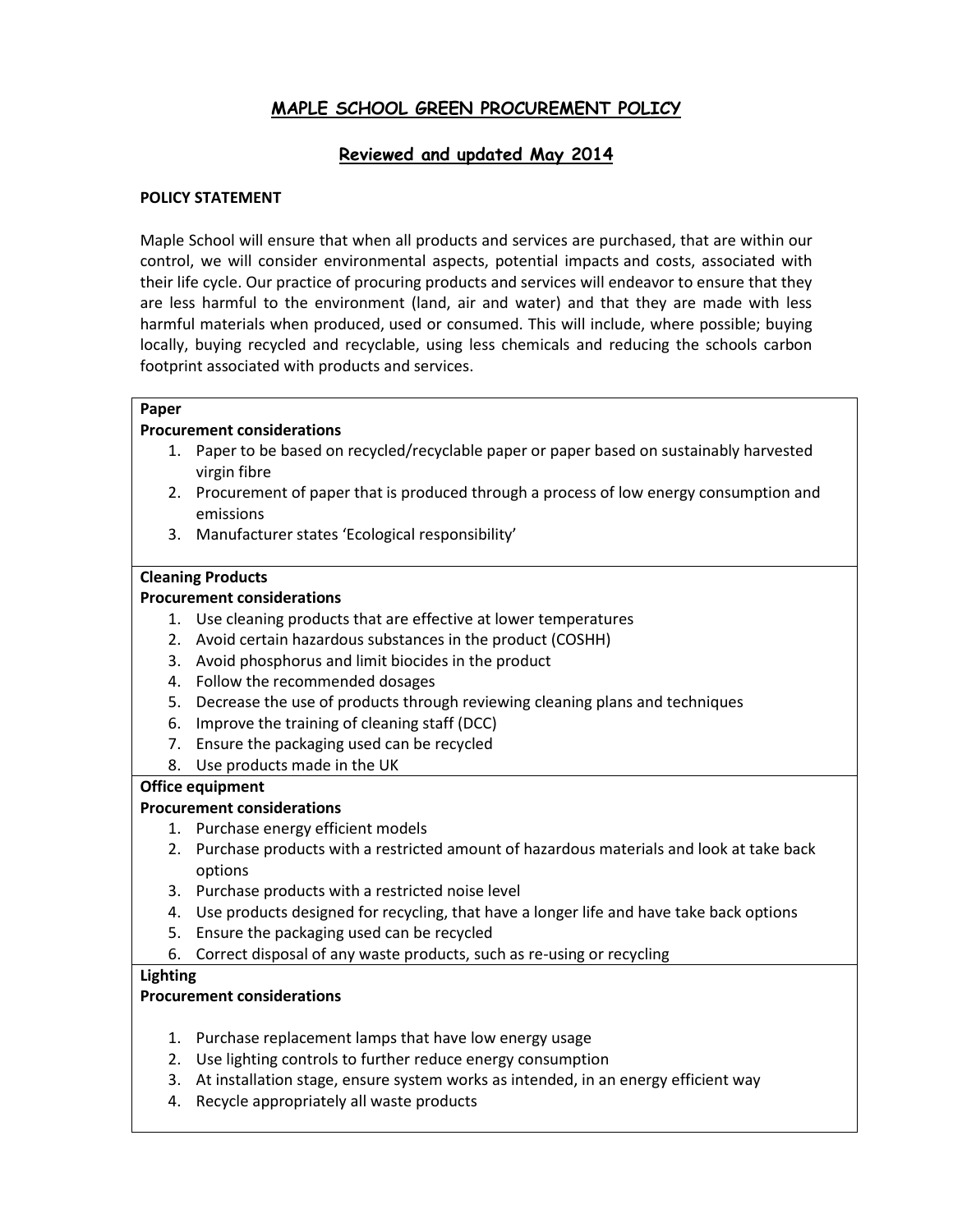# **MAPLE SCHOOL GREEN PROCUREMENT POLICY**

## **Reviewed and updated May 2014**

## **POLICY STATEMENT**

Maple School will ensure that when all products and services are purchased, that are within our control, we will consider environmental aspects, potential impacts and costs, associated with their life cycle. Our practice of procuring products and services will endeavor to ensure that they are less harmful to the environment (land, air and water) and that they are made with less harmful materials when produced, used or consumed. This will include, where possible; buying locally, buying recycled and recyclable, using less chemicals and reducing the schools carbon footprint associated with products and services.

#### **Paper**

#### **Procurement considerations**

- 1. Paper to be based on recycled/recyclable paper or paper based on sustainably harvested virgin fibre
- 2. Procurement of paper that is produced through a process of low energy consumption and emissions
- 3. Manufacturer states 'Ecological responsibility'

#### **Cleaning Products**

#### **Procurement considerations**

- 1. Use cleaning products that are effective at lower temperatures
- 2. Avoid certain hazardous substances in the product (COSHH)
- 3. Avoid phosphorus and limit biocides in the product
- 4. Follow the recommended dosages
- 5. Decrease the use of products through reviewing cleaning plans and techniques
- 6. Improve the training of cleaning staff (DCC)
- 7. Ensure the packaging used can be recycled
- 8. Use products made in the UK

#### **Office equipment**

#### **Procurement considerations**

- 1. Purchase energy efficient models
- 2. Purchase products with a restricted amount of hazardous materials and look at take back options
- 3. Purchase products with a restricted noise level
- 4. Use products designed for recycling, that have a longer life and have take back options
- 5. Ensure the packaging used can be recycled
- 6. Correct disposal of any waste products, such as re-using or recycling

#### **Lighting**

#### **Procurement considerations**

- 1. Purchase replacement lamps that have low energy usage
- 2. Use lighting controls to further reduce energy consumption
- 3. At installation stage, ensure system works as intended, in an energy efficient way
- 4. Recycle appropriately all waste products